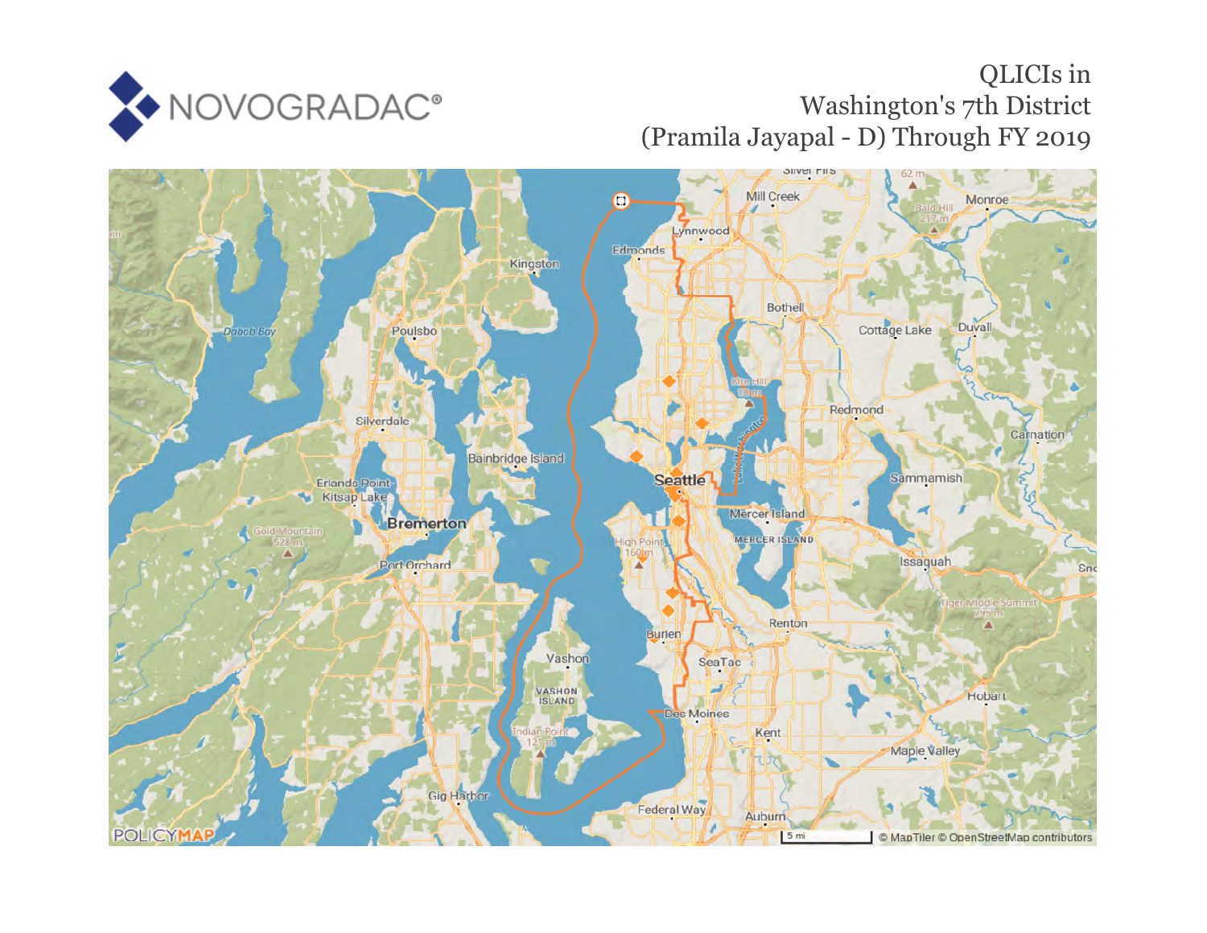

## QLICIs in Washington's 7th District (Pramila Jayapal - D) Through FY 2019

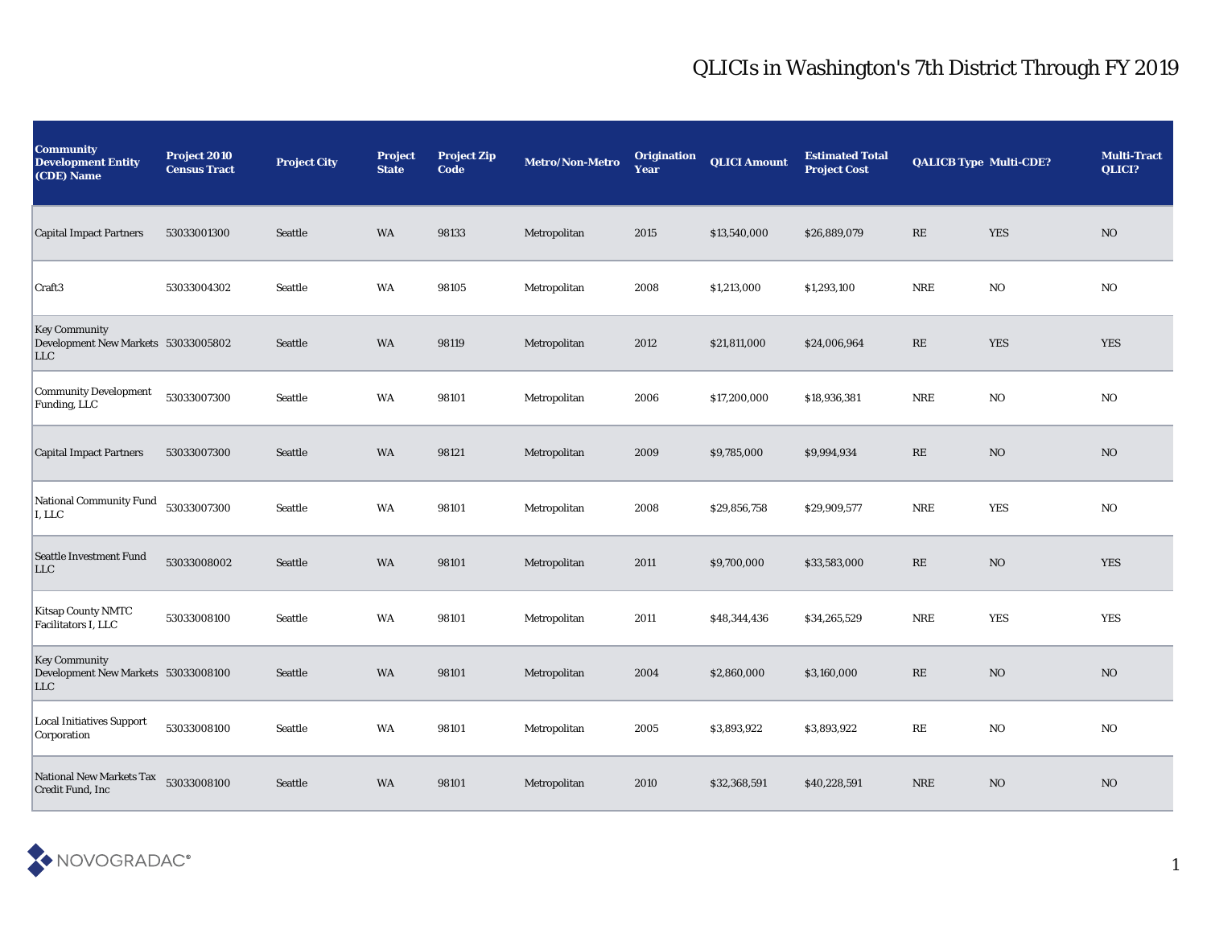## QLICIs in Washington's 7th District Through FY 2019

| <b>Community</b><br><b>Development Entity</b><br>(CDE) Name        | Project 2010<br><b>Census Tract</b> | <b>Project City</b> | <b>Project</b><br><b>State</b> | <b>Project Zip</b><br>Code | Metro/Non-Metro | <b>Origination</b><br>Year | <b>QLICI Amount</b> | <b>Estimated Total</b><br><b>Project Cost</b> | <b>QALICB Type Multi-CDE?</b> |                | <b>Multi-Tract</b><br>QLICI? |
|--------------------------------------------------------------------|-------------------------------------|---------------------|--------------------------------|----------------------------|-----------------|----------------------------|---------------------|-----------------------------------------------|-------------------------------|----------------|------------------------------|
| <b>Capital Impact Partners</b>                                     | 53033001300                         | <b>Seattle</b>      | WA                             | 98133                      | Metropolitan    | 2015                       | \$13,540,000        | \$26,889,079                                  | RE                            | <b>YES</b>     | N <sub>O</sub>               |
| Craft <sub>3</sub>                                                 | 53033004302                         | Seattle             | WA                             | 98105                      | Metropolitan    | 2008                       | \$1,213,000         | \$1,293,100                                   | <b>NRE</b>                    | NO.            | NO                           |
| <b>Key Community</b><br>Development New Markets 53033005802<br>LLC |                                     | Seattle             | <b>WA</b>                      | 98119                      | Metropolitan    | 2012                       | \$21,811,000        | \$24,006,964                                  | RE                            | YES            | <b>YES</b>                   |
| <b>Community Development</b><br>Funding, LLC                       | 53033007300                         | Seattle             | WA                             | 98101                      | Metropolitan    | 2006                       | \$17,200,000        | \$18,936,381                                  | <b>NRE</b>                    | NO.            | NO                           |
| <b>Capital Impact Partners</b>                                     | 53033007300                         | Seattle             | WA                             | 98121                      | Metropolitan    | 2009                       | \$9,785,000         | \$9,994,934                                   | RE                            | NO             | N <sub>O</sub>               |
| <b>National Community Fund</b><br>I, LLC                           | 53033007300                         | Seattle             | WA                             | 98101                      | Metropolitan    | 2008                       | \$29,856,758        | \$29,909,577                                  | <b>NRE</b>                    | YES            | NO                           |
| <b>Seattle Investment Fund</b><br>LLC                              | 53033008002                         | Seattle             | WA                             | 98101                      | Metropolitan    | 2011                       | \$9,700,000         | \$33,583,000                                  | RE                            | N <sub>O</sub> | <b>YES</b>                   |
| Kitsap County NMTC<br>Facilitators I, LLC                          | 53033008100                         | Seattle             | WA                             | 98101                      | Metropolitan    | 2011                       | \$48,344,436        | \$34,265,529                                  | <b>NRE</b>                    | YES            | <b>YES</b>                   |
| <b>Key Community</b><br>Development New Markets 53033008100<br>LLC |                                     | <b>Seattle</b>      | <b>WA</b>                      | 98101                      | Metropolitan    | 2004                       | \$2,860,000         | \$3,160,000                                   | RE                            | NO             | $\rm NO$                     |
| <b>Local Initiatives Support</b><br>Corporation                    | 53033008100                         | Seattle             | WA                             | 98101                      | Metropolitan    | 2005                       | \$3,893,922         | \$3,893,922                                   | RE                            | N <sub>O</sub> | NO                           |
| <b>National New Markets Tax</b><br>Credit Fund, Inc                | 53033008100                         | Seattle             | WA                             | 98101                      | Metropolitan    | 2010                       | \$32,368,591        | \$40,228,591                                  | <b>NRE</b>                    | N <sub>O</sub> | N <sub>O</sub>               |

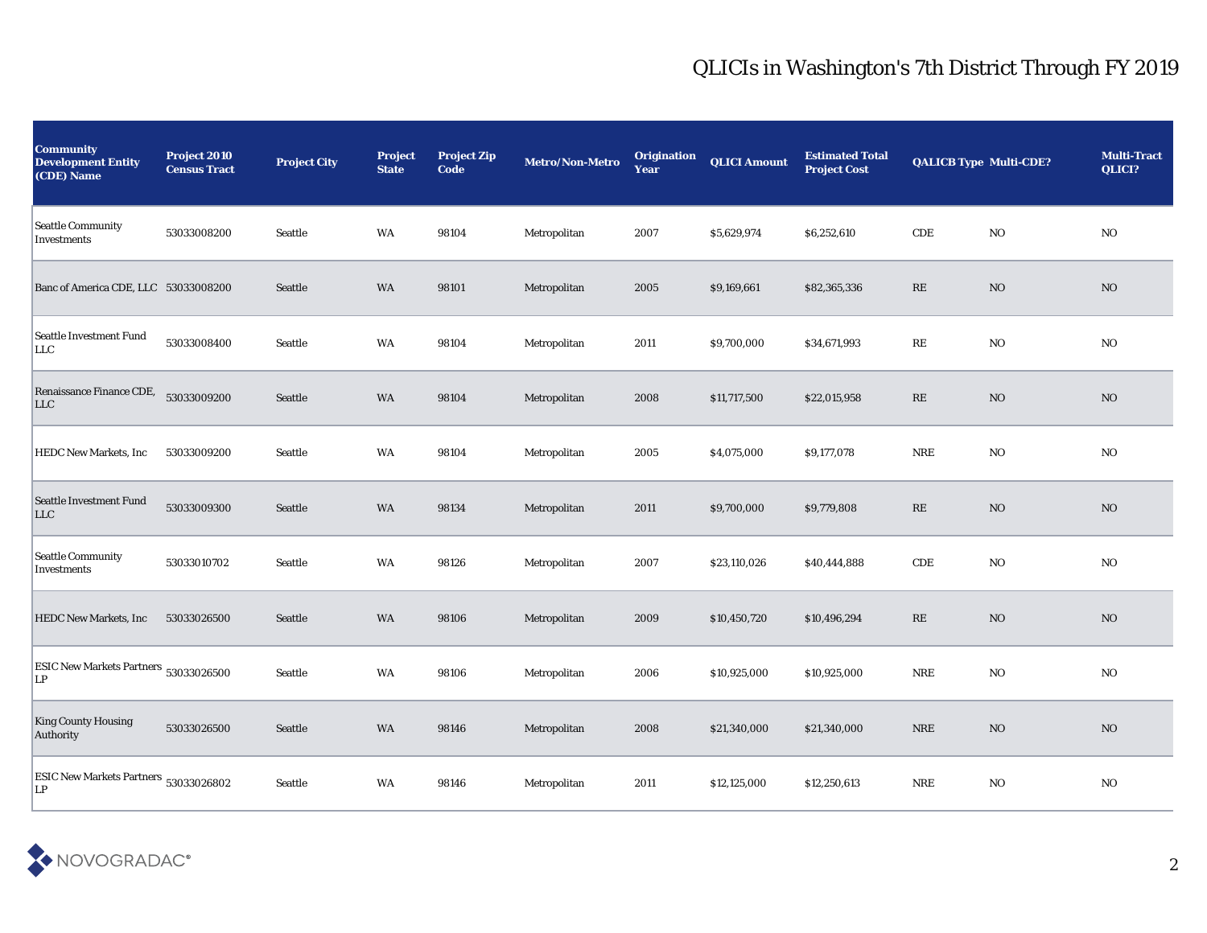## QLICIs in Washington's 7th District Through FY 2019

| <b>Community</b><br><b>Development Entity</b><br>(CDE) Name | Project 2010<br><b>Census Tract</b> | <b>Project City</b> | <b>Project</b><br><b>State</b> | <b>Project Zip</b><br>Code | Metro/Non-Metro | <b>Origination</b><br>Year | <b>QLICI Amount</b> | <b>Estimated Total</b><br><b>Project Cost</b> | <b>QALICB Type Multi-CDE?</b> |                | <b>Multi-Tract</b><br>QLICI? |
|-------------------------------------------------------------|-------------------------------------|---------------------|--------------------------------|----------------------------|-----------------|----------------------------|---------------------|-----------------------------------------------|-------------------------------|----------------|------------------------------|
| <b>Seattle Community</b><br>Investments                     | 53033008200                         | Seattle             | WA                             | 98104                      | Metropolitan    | 2007                       | \$5,629,974         | \$6,252,610                                   | CDE                           | N <sub>O</sub> | N <sub>O</sub>               |
| Banc of America CDE, LLC 53033008200                        |                                     | Seattle             | <b>WA</b>                      | 98101                      | Metropolitan    | 2005                       | \$9,169,661         | \$82,365,336                                  | RE                            | N <sub>O</sub> | N <sub>O</sub>               |
| <b>Seattle Investment Fund</b><br>LLC                       | 53033008400                         | Seattle             | WA                             | 98104                      | Metropolitan    | 2011                       | \$9,700,000         | \$34,671,993                                  | RE                            | NO.            | NO                           |
| Renaissance Finance CDE,<br>LLC                             | 53033009200                         | Seattle             | WA                             | 98104                      | Metropolitan    | 2008                       | \$11,717,500        | \$22,015,958                                  | RE                            | N <sub>O</sub> | NO                           |
| <b>HEDC New Markets, Inc.</b>                               | 53033009200                         | Seattle             | WA                             | 98104                      | Metropolitan    | 2005                       | \$4,075,000         | \$9,177,078                                   | <b>NRE</b>                    | N <sub>O</sub> | NO                           |
| <b>Seattle Investment Fund</b><br><b>LLC</b>                | 53033009300                         | Seattle             | WA                             | 98134                      | Metropolitan    | 2011                       | \$9,700,000         | \$9,779,808                                   | RE                            | N <sub>O</sub> | N <sub>O</sub>               |
| <b>Seattle Community</b><br>Investments                     | 53033010702                         | Seattle             | WA                             | 98126                      | Metropolitan    | 2007                       | \$23,110,026        | \$40,444,888                                  | CDE                           | NO.            | NO                           |
| <b>HEDC New Markets, Inc.</b>                               | 53033026500                         | <b>Seattle</b>      | WA                             | 98106                      | Metropolitan    | 2009                       | \$10,450,720        | \$10,496,294                                  | RE                            | NO             | NO                           |
| ESIC New Markets Partners 53033026500<br>LP                 |                                     | Seattle             | <b>WA</b>                      | 98106                      | Metropolitan    | 2006                       | \$10,925,000        | \$10,925,000                                  | <b>NRE</b>                    | N <sub>O</sub> | NO                           |
| <b>King County Housing</b><br><b>Authority</b>              | 53033026500                         | Seattle             | <b>WA</b>                      | 98146                      | Metropolitan    | 2008                       | \$21,340,000        | \$21,340,000                                  | <b>NRE</b>                    | NO             | NO                           |
| ESIC New Markets Partners 53033026802<br>LP                 |                                     | Seattle             | WA                             | 98146                      | Metropolitan    | 2011                       | \$12,125,000        | \$12,250,613                                  | <b>NRE</b>                    | NO.            | N <sub>O</sub>               |